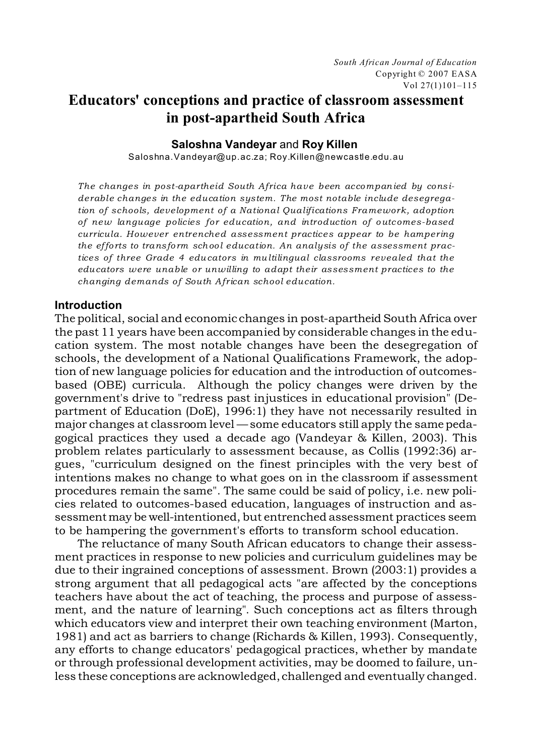# **Educators' conceptions and practice of classroom assessment in post-apartheid South Africa**

## **Saloshna Vandeyar** and **Roy Killen**

Saloshna.Vandeyar@up.ac.za; Roy.Killen@newcastle.edu.au

*The changes in post-apartheid South Africa have been accompanied by considerable changes in the education system. The most notable include desegregation of schools, development of a National Qualifications Framework, adoption of new language policies for education, and introduction of o utc omes-based curricula. However entrenched assessment practices appear to be hampering the effo rts to transfo rm school education. An analysis of the assessment practices of three Grade 4 educators in multilingual classrooms revealed that the educators were unable or unwilling to adapt their assessment practices to the changing demands of South African school education.*

# **Introduction**

The political, social and economic changes in post-apartheid South Africa over the past 11 years have been accompanied by considerable changes in the education system. The most notable changes have been the desegregation of schools, the development of a National Qualifications Framework, the adoption of new language policies for education and the introduction of outcomesbased (OBE) curricula. Although the policy changes were driven by the government's drive to "redress past injustices in educational provision" (Department of Education (DoE), 1996:1) they have not necessarily resulted in major changes at classroom level — some educators still apply the same pedagogical practices they used a decade ago (Vandeyar & Killen, 2003). This problem relates particularly to assessment because, as Collis (1992:36) argues, "curriculum designed on the finest principles with the very best of intentions makes no change to what goes on in the classroom if assessment procedures remain the same". The same could be said of policy, i.e. new policies related to outcomes-based education, languages of instruction and assessment may be well-intentioned, but entrenched assessment practices seem to be hampering the government's efforts to transform school education.

The reluctance of many South African educators to change their assessment practices in response to new policies and curriculum guidelines may be due to their ingrained conceptions of assessment. Brown (2003:1) provides a strong argument that all pedagogical acts "are affected by the conceptions teachers have about the act of teaching, the process and purpose of assessment, and the nature of learning". Such conceptions act as filters through which educators view and interpret their own teaching environment (Marton, 1981) and act as barriers to change (Richards & Killen, 1993). Consequently, any efforts to change educators' pedagogical practices, whether by mandate or through professional development activities, may be doomed to failure, unless these conceptions are acknowledged, challenged and eventually changed.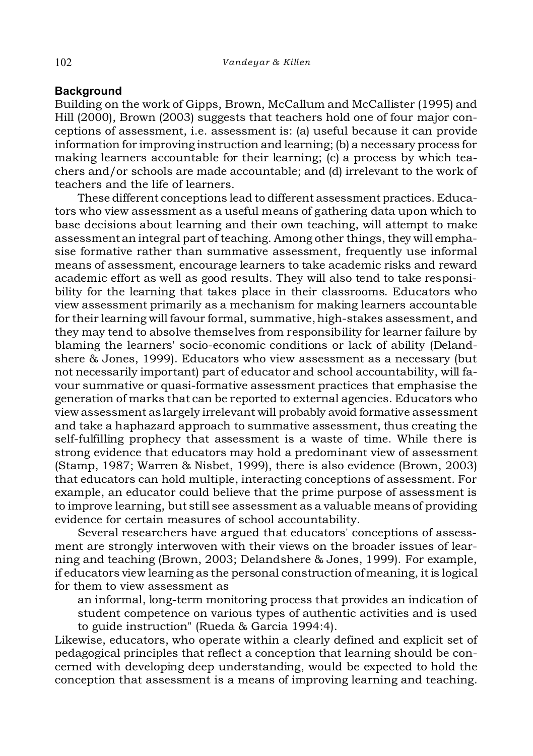# **Background**

Building on the work of Gipps, Brown, McCallum and McCallister (1995) and Hill (2000), Brown (2003) suggests that teachers hold one of four major conceptions of assessment, i.e. assessment is: (a) useful because it can provide information for improving instruction and learning; (b) a necessary process for making learners accountable for their learning; (c) a process by which teachers and/or schools are made accountable; and (d) irrelevant to the work of teachers and the life of learners.

These different conceptions lead to different assessment practices. Educators who view assessment as a useful means of gathering data upon which to base decisions about learning and their own teaching, will attempt to make assessment an integral part of teaching. Among other things, they will emphasise formative rather than summative assessment, frequently use informal means of assessment, encourage learners to take academic risks and reward academic effort as well as good results. They will also tend to take responsibility for the learning that takes place in their classrooms. Educators who view assessment primarily as a mechanism for making learners accountable for their learning will favour formal, summative, high-stakes assessment, and they may tend to absolve themselves from responsibility for learner failure by blaming the learners' socio-economic conditions or lack of ability (Delandshere & Jones, 1999). Educators who view assessment as a necessary (but not necessarily important) part of educator and school accountability, will favour summative or quasi-formative assessment practices that emphasise the generation of marks that can be reported to external agencies. Educators who view assessment as largely irrelevant will probably avoid formative assessment and take a haphazard approach to summative assessment, thus creating the self-fulfilling prophecy that assessment is a waste of time. While there is strong evidence that educators may hold a predominant view of assessment (Stamp, 1987; Warren & Nisbet, 1999), there is also evidence (Brown, 2003) that educators can hold multiple, interacting conceptions of assessment. For example, an educator could believe that the prime purpose of assessment is to improve learning, but still see assessment as a valuable means of providing evidence for certain measures of school accountability.

Several researchers have argued that educators' conceptions of assessment are strongly interwoven with their views on the broader issues of learning and teaching (Brown, 2003; Delandshere & Jones, 1999). For example, if educators view learning as the personal construction of meaning, it is logical for them to view assessment as

an informal, long-term monitoring process that provides an indication of student competence on various types of authentic activities and is used to guide instruction" (Rueda & Garcia 1994:4).

Likewise, educators, who operate within a clearly defined and explicit set of pedagogical principles that reflect a conception that learning should be concerned with developing deep understanding, would be expected to hold the conception that assessment is a means of improving learning and teaching.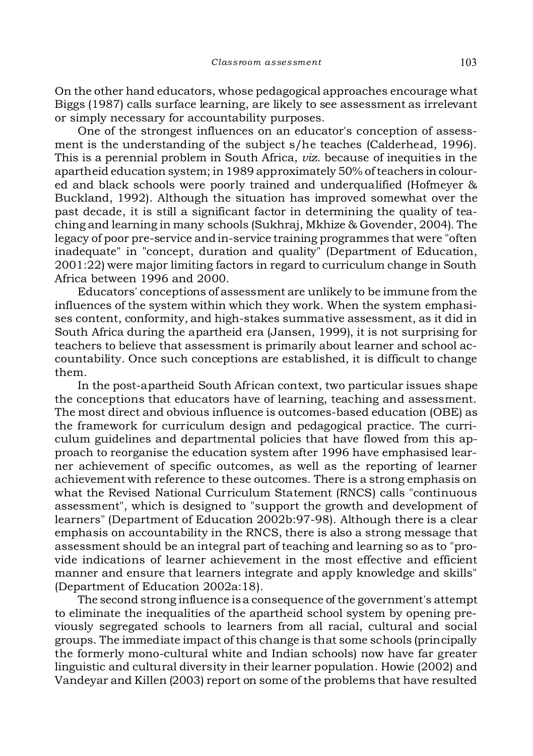On the other hand educators, whose pedagogical approaches encourage what Biggs (1987) calls surface learning, are likely to see assessment as irrelevant or simply necessary for accountability purposes.

One of the strongest influences on an educator's conception of assessment is the understanding of the subject s/he teaches (Calderhead, 1996). This is a perennial problem in South Africa, *viz*. because of inequities in the apartheid education system; in 1989 approximately 50% of teachers in coloured and black schools were poorly trained and underqualified (Hofmeyer & Buckland, 1992). Although the situation has improved somewhat over the past decade, it is still a significant factor in determining the quality of teaching and learning in many schools (Sukhraj, Mkhize & Govender, 2004). The legacy of poor pre-service and in-service training programmes that were "often inadequate" in "concept, duration and quality" (Department of Education, 2001:22) were major limiting factors in regard to curriculum change in South Africa between 1996 and 2000.

Educators' conceptions of assessment are unlikely to be immune from the influences of the system within which they work. When the system emphasises content, conformity, and high-stakes summative assessment, as it did in South Africa during the apartheid era (Jansen, 1999), it is not surprising for teachers to believe that assessment is primarily about learner and school accountability. Once such conceptions are established, it is difficult to change them.

In the post-apartheid South African context, two particular issues shape the conceptions that educators have of learning, teaching and assessment. The most direct and obvious influence is outcomes-based education (OBE) as the framework for curriculum design and pedagogical practice. The curriculum guidelines and departmental policies that have flowed from this approach to reorganise the education system after 1996 have emphasised learner achievement of specific outcomes, as well as the reporting of learner achievement with reference to these outcomes. There is a strong emphasis on what the Revised National Curriculum Statement (RNCS) calls "continuous assessment", which is designed to "support the growth and development of learners" (Department of Education 2002b:97-98). Although there is a clear emphasis on accountability in the RNCS, there is also a strong message that assessment should be an integral part of teaching and learning so as to "provide indications of learner achievement in the most effective and efficient manner and ensure that learners integrate and apply knowledge and skills" (Department of Education 2002a:18).

The second strong influence is a consequence of the government's attempt to eliminate the inequalities of the apartheid school system by opening previously segregated schools to learners from all racial, cultural and social groups. The immediate impact of this change is that some schools (principally the formerly mono-cultural white and Indian schools) now have far greater linguistic and cultural diversity in their learner population. Howie (2002) and Vandeyar and Killen (2003) report on some of the problems that have resulted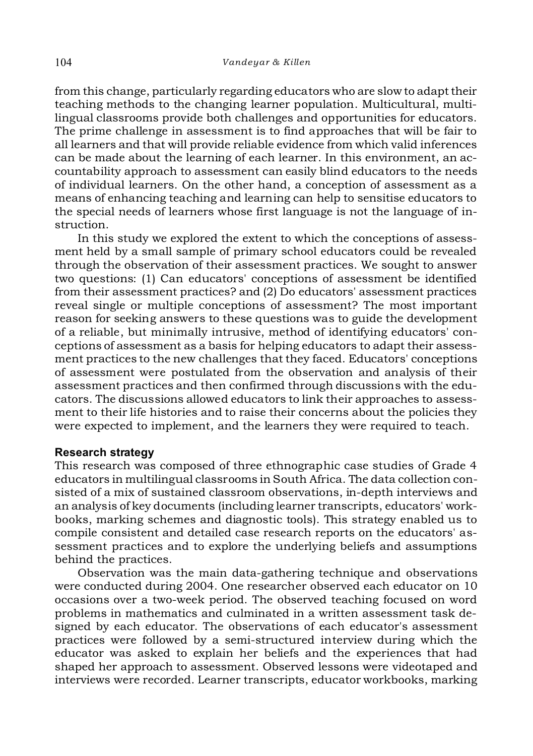from this change, particularly regarding educators who are slow to adapt their teaching methods to the changing learner population. Multicultural, multilingual classrooms provide both challenges and opportunities for educators. The prime challenge in assessment is to find approaches that will be fair to all learners and that will provide reliable evidence from which valid inferences can be made about the learning of each learner. In this environment, an accountability approach to assessment can easily blind educators to the needs of individual learners. On the other hand, a conception of assessment as a means of enhancing teaching and learning can help to sensitise educators to the special needs of learners whose first language is not the language of instruction.

In this study we explored the extent to which the conceptions of assessment held by a small sample of primary school educators could be revealed through the observation of their assessment practices. We sought to answer two questions: (1) Can educators' conceptions of assessment be identified from their assessment practices? and (2) Do educators' assessment practices reveal single or multiple conceptions of assessment? The most important reason for seeking answers to these questions was to guide the development of a reliable, but minimally intrusive, method of identifying educators' conceptions of assessment as a basis for helping educators to adapt their assessment practices to the new challenges that they faced. Educators' conceptions of assessment were postulated from the observation and analysis of their assessment practices and then confirmed through discussions with the educators. The discussions allowed educators to link their approaches to assessment to their life histories and to raise their concerns about the policies they were expected to implement, and the learners they were required to teach.

## **Research strategy**

This research was composed of three ethnographic case studies of Grade 4 educators in multilingual classrooms in South Africa. The data collection consisted of a mix of sustained classroom observations, in-depth interviews and an analysis of key documents (including learner transcripts, educators' workbooks, marking schemes and diagnostic tools). This strategy enabled us to compile consistent and detailed case research reports on the educators' assessment practices and to explore the underlying beliefs and assumptions behind the practices.

Observation was the main data-gathering technique and observations were conducted during 2004. One researcher observed each educator on 10 occasions over a two-week period. The observed teaching focused on word problems in mathematics and culminated in a written assessment task designed by each educator. The observations of each educator's assessment practices were followed by a semi-structured interview during which the educator was asked to explain her beliefs and the experiences that had shaped her approach to assessment. Observed lessons were videotaped and interviews were recorded. Learner transcripts, educator workbooks, marking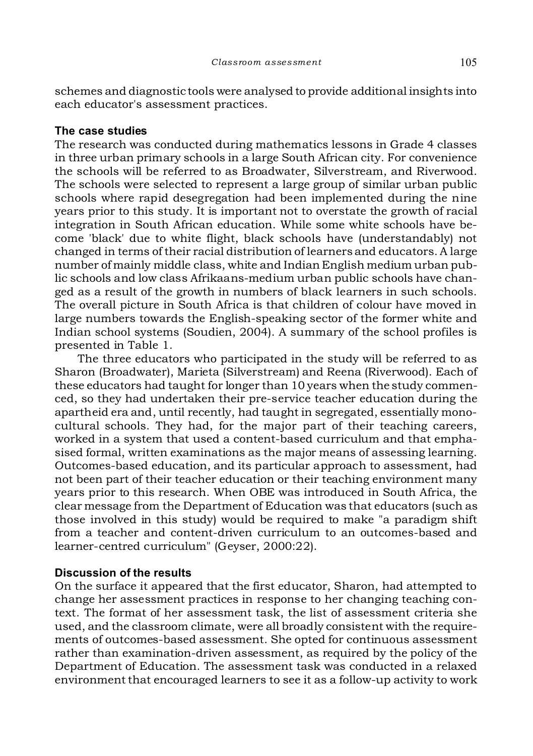schemes and diagnostic tools were analysed to provide additional insights into each educator's assessment practices.

# **The case studies**

The research was conducted during mathematics lessons in Grade 4 classes in three urban primary schools in a large South African city. For convenience the schools will be referred to as Broadwater, Silverstream, and Riverwood. The schools were selected to represent a large group of similar urban public schools where rapid desegregation had been implemented during the nine years prior to this study. It is important not to overstate the growth of racial integration in South African education. While some white schools have become 'black' due to white flight, black schools have (understandably) not changed in terms of their racial distribution of learners and educators. A large number of mainly middle class, white and Indian English medium urban public schools and low class Afrikaans-medium urban public schools have changed as a result of the growth in numbers of black learners in such schools. The overall picture in South Africa is that children of colour have moved in large numbers towards the English-speaking sector of the former white and Indian school systems (Soudien, 2004). A summary of the school profiles is presented in Table 1.

The three educators who participated in the study will be referred to as Sharon (Broadwater), Marieta (Silverstream) and Reena (Riverwood). Each of these educators had taught for longer than 10 years when the study commenced, so they had undertaken their pre-service teacher education during the apartheid era and, until recently, had taught in segregated, essentially monocultural schools. They had, for the major part of their teaching careers, worked in a system that used a content-based curriculum and that emphasised formal, written examinations as the major means of assessing learning. Outcomes-based education, and its particular approach to assessment, had not been part of their teacher education or their teaching environment many years prior to this research. When OBE was introduced in South Africa, the clear message from the Department of Education was that educators (such as those involved in this study) would be required to make "a paradigm shift from a teacher and content-driven curriculum to an outcomes-based and learner-centred curriculum" (Geyser, 2000:22).

# **Discussion of the results**

On the surface it appeared that the first educator, Sharon, had attempted to change her assessment practices in response to her changing teaching context. The format of her assessment task, the list of assessment criteria she used, and the classroom climate, were all broadly consistent with the requirements of outcomes-based assessment. She opted for continuous assessment rather than examination-driven assessment, as required by the policy of the Department of Education. The assessment task was conducted in a relaxed environment that encouraged learners to see it as a follow-up activity to work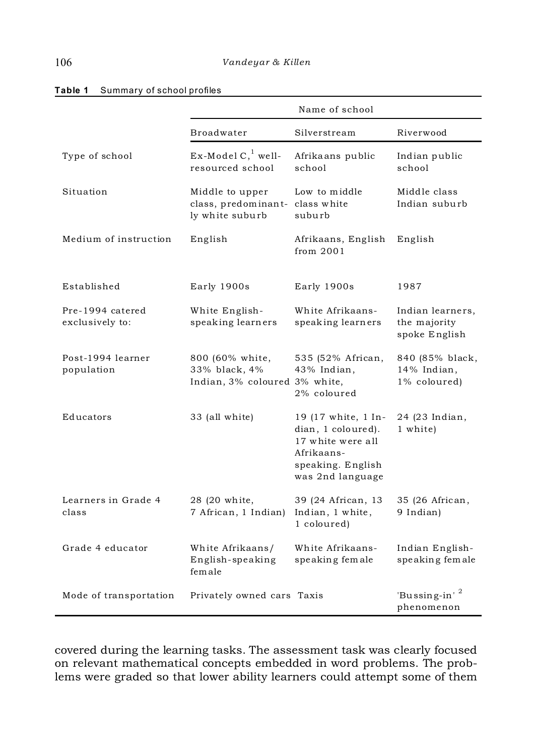|                                     | Name of school                                                        |                                                                                                                       |                                                   |
|-------------------------------------|-----------------------------------------------------------------------|-----------------------------------------------------------------------------------------------------------------------|---------------------------------------------------|
|                                     | <b>Broadwater</b>                                                     | Silverstream                                                                                                          | Riverwood                                         |
| Type of school                      | $Ex$ -Model C, well-<br>resourced school                              | Afrikaans public<br>school                                                                                            | Indian public<br>school                           |
| Situation                           | Middle to upper<br>class, predominant- class white<br>ly white suburb | Low to middle<br>suburb                                                                                               | Middle class<br>Indian suburb                     |
| Medium of instruction               | English                                                               | Afrikaans, English<br>from $2001$                                                                                     | English                                           |
| Established                         | Early 1900s                                                           | Early 1900s                                                                                                           | 1987                                              |
| Pre-1994 catered<br>exclusively to: | White English-<br>speaking learners                                   | White Afrikaans-<br>speaking learners                                                                                 | Indian learners,<br>the majority<br>spoke English |
| Post-1994 learner<br>population     | 800 (60% white,<br>33% black, 4%<br>Indian, 3% coloured 3% white,     | 535 (52% African,<br>43% Indian,<br>2% coloured                                                                       | 840 (85% black,<br>14% Indian,<br>1% coloured)    |
| Educators                           | 33 (all white)                                                        | 19 (17 white, 1 In-<br>dian, 1 coloured).<br>17 white were all<br>Afrikaans-<br>speaking. English<br>was 2nd language | 24 (23 Indian,<br>1 white)                        |
| Learners in Grade 4<br>class        | 28 (20 white,<br>7 African, 1 Indian)                                 | 39 (24 African, 13<br>Indian, 1 white,<br>1 coloured)                                                                 | 35 (26 African,<br>9 Indian)                      |
| Grade 4 educator                    | White Afrikaans/<br>English-speaking<br>female                        | White Afrikaans-<br>speaking female                                                                                   | Indian English-<br>speaking female                |
| Mode of transportation              | Privately owned cars Taxis                                            |                                                                                                                       | 'Bussing-in' $^2$<br>phenomenon                   |

#### **Table 1** Summary of school profiles

covered during the learning tasks. The assessment task was clearly focused on relevant mathematical concepts embedded in word problems. The problems were graded so that lower ability learners could attempt some of them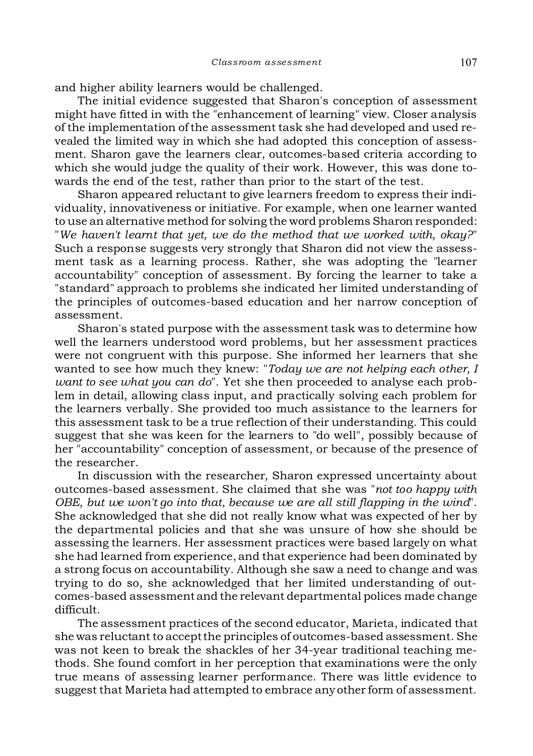and higher ability learners would be challenged.

The initial evidence suggested that Sharon's conception of assessment might have fitted in with the "enhancement of learning" view. Closer analysis of the implementation of the assessment task she had developed and used revealed the limited way in which she had adopted this conception of assessment. Sharon gave the learners clear, outcomes-based criteria according to which she would judge the quality of their work. However, this was done towards the end of the test, rather than prior to the start of the test.

Sharon appeared reluctant to give learners freedom to express their individuality, innovativeness or initiative. For example, when one learner wanted to use an alternative method for solving the word problems Sharon responded: "*We haven't learnt that yet, we do the method that we worked with, okay?*" Such a response suggests very strongly that Sharon did not view the assessment task as a learning process. Rather, she was adopting the "learner accountability" conception of assessment. By forcing the learner to take a "standard" approach to problems she indicated her limited understanding of the principles of outcomes-based education and her narrow conception of assessment.

Sharon's stated purpose with the assessment task was to determine how well the learners understood word problems, but her assessment practices were not congruent with this purpose. She informed her learners that she wanted to see how much they knew: "*Today we are not helping each other, I want to see what you can do*". Yet she then proceeded to analyse each problem in detail, allowing class input, and practically solving each problem for the learners verbally. She provided too much assistance to the learners for this assessment task to be a true reflection of their understanding. This could suggest that she was keen for the learners to "do well", possibly because of her "accountability" conception of assessment, or because of the presence of the researcher.

In discussion with the researcher, Sharon expressed uncertainty about outcomes-based assessment. She claimed that she was "*not too happy with OBE, but we won't go into that, because we are all still flapping in the wind*". She acknowledged that she did not really know what was expected of her by the departmental policies and that she was unsure of how she should be assessing the learners. Her assessment practices were based largely on what she had learned from experience, and that experience had been dominated by a strong focus on accountability. Although she saw a need to change and was trying to do so, she acknowledged that her limited understanding of outcomes-based assessment and the relevant departmental polices made change difficult.

The assessment practices of the second educator, Marieta, indicated that she was reluctant to accept the principles of outcomes-based assessment. She was not keen to break the shackles of her 34-year traditional teaching methods. She found comfort in her perception that examinations were the only true means of assessing learner performance. There was little evidence to suggest that Marieta had attempted to embrace any other form of assessment.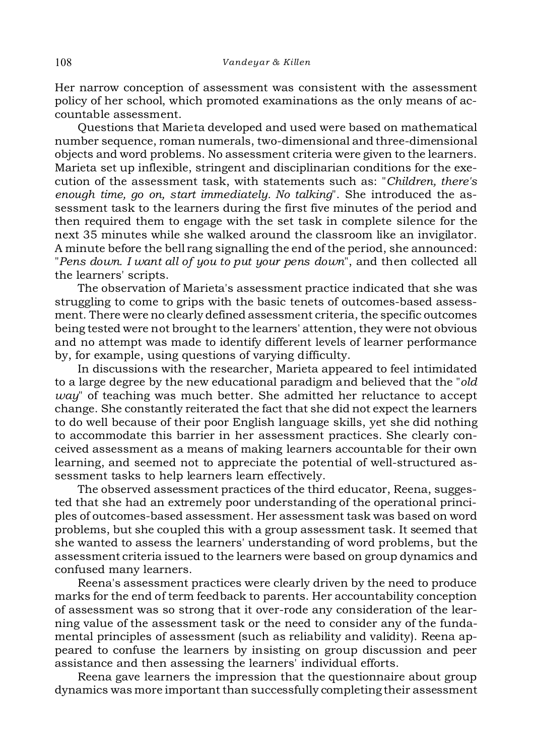Her narrow conception of assessment was consistent with the assessment policy of her school, which promoted examinations as the only means of accountable assessment.

Questions that Marieta developed and used were based on mathematical number sequence, roman numerals, two-dimensional and three-dimensional objects and word problems. No assessment criteria were given to the learners. Marieta set up inflexible, stringent and disciplinarian conditions for the execution of the assessment task, with statements such as: "*Children, there's enough time, go on, start immediately. No talking*". She introduced the assessment task to the learners during the first five minutes of the period and then required them to engage with the set task in complete silence for the next 35 minutes while she walked around the classroom like an invigilator. A minute before the bell rang signalling the end of the period, she announced: "*Pens down. I want all of you to put your pens down*", and then collected all the learners' scripts.

The observation of Marieta's assessment practice indicated that she was struggling to come to grips with the basic tenets of outcomes-based assessment. There were no clearly defined assessment criteria, the specific outcomes being tested were not brought to the learners' attention, they were not obvious and no attempt was made to identify different levels of learner performance by, for example, using questions of varying difficulty.

In discussions with the researcher, Marieta appeared to feel intimidated to a large degree by the new educational paradigm and believed that the "*old way*" of teaching was much better. She admitted her reluctance to accept change. She constantly reiterated the fact that she did not expect the learners to do well because of their poor English language skills, yet she did nothing to accommodate this barrier in her assessment practices. She clearly conceived assessment as a means of making learners accountable for their own learning, and seemed not to appreciate the potential of well-structured assessment tasks to help learners learn effectively.

The observed assessment practices of the third educator, Reena, suggested that she had an extremely poor understanding of the operational principles of outcomes-based assessment. Her assessment task was based on word problems, but she coupled this with a group assessment task. It seemed that she wanted to assess the learners' understanding of word problems, but the assessment criteria issued to the learners were based on group dynamics and confused many learners.

Reena's assessment practices were clearly driven by the need to produce marks for the end of term feedback to parents. Her accountability conception of assessment was so strong that it over-rode any consideration of the learning value of the assessment task or the need to consider any of the fundamental principles of assessment (such as reliability and validity). Reena appeared to confuse the learners by insisting on group discussion and peer assistance and then assessing the learners' individual efforts.

Reena gave learners the impression that the questionnaire about group dynamics was more important than successfully completing their assessment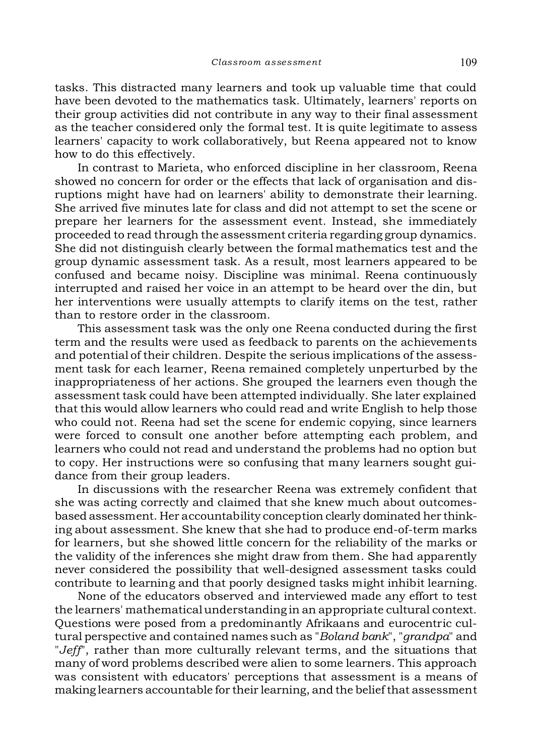tasks. This distracted many learners and took up valuable time that could have been devoted to the mathematics task. Ultimately, learners' reports on their group activities did not contribute in any way to their final assessment as the teacher considered only the formal test. It is quite legitimate to assess learners' capacity to work collaboratively, but Reena appeared not to know how to do this effectively.

In contrast to Marieta, who enforced discipline in her classroom, Reena showed no concern for order or the effects that lack of organisation and disruptions might have had on learners' ability to demonstrate their learning. She arrived five minutes late for class and did not attempt to set the scene or prepare her learners for the assessment event. Instead, she immediately proceeded to read through the assessment criteria regarding group dynamics. She did not distinguish clearly between the formal mathematics test and the group dynamic assessment task. As a result, most learners appeared to be confused and became noisy. Discipline was minimal. Reena continuously interrupted and raised her voice in an attempt to be heard over the din, but her interventions were usually attempts to clarify items on the test, rather than to restore order in the classroom.

This assessment task was the only one Reena conducted during the first term and the results were used as feedback to parents on the achievements and potential of their children. Despite the serious implications of the assessment task for each learner, Reena remained completely unperturbed by the inappropriateness of her actions. She grouped the learners even though the assessment task could have been attempted individually. She later explained that this would allow learners who could read and write English to help those who could not. Reena had set the scene for endemic copying, since learners were forced to consult one another before attempting each problem, and learners who could not read and understand the problems had no option but to copy. Her instructions were so confusing that many learners sought guidance from their group leaders.

In discussions with the researcher Reena was extremely confident that she was acting correctly and claimed that she knew much about outcomesbased assessment. Her accountability conception clearly dominated her thinking about assessment. She knew that she had to produce end-of-term marks for learners, but she showed little concern for the reliability of the marks or the validity of the inferences she might draw from them. She had apparently never considered the possibility that well-designed assessment tasks could contribute to learning and that poorly designed tasks might inhibit learning.

None of the educators observed and interviewed made any effort to test the learners' mathematical understanding in an appropriate cultural context. Questions were posed from a predominantly Afrikaans and eurocentric cultural perspective and contained names such as "*Boland bank*", "*grandpa*" and "*Jeff*", rather than more culturally relevant terms, and the situations that many of word problems described were alien to some learners. This approach was consistent with educators' perceptions that assessment is a means of making learners accountable for their learning, and the belief that assessment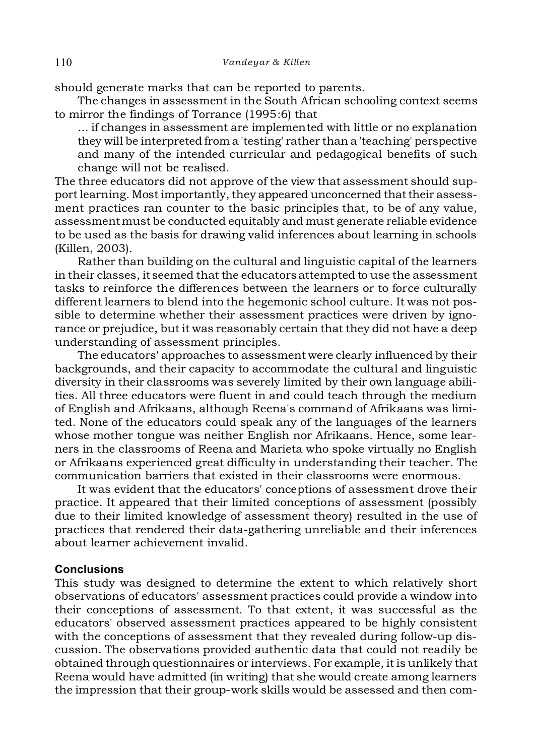should generate marks that can be reported to parents.

The changes in assessment in the South African schooling context seems to mirror the findings of Torrance (1995:6) that

... if changes in assessment are implemented with little or no explanation they will be interpreted from a 'testing' rather than a 'teaching' perspective and many of the intended curricular and pedagogical benefits of such change will not be realised.

The three educators did not approve of the view that assessment should support learning. Most importantly, they appeared unconcerned that their assessment practices ran counter to the basic principles that, to be of any value, assessment must be conducted equitably and must generate reliable evidence to be used as the basis for drawing valid inferences about learning in schools (Killen, 2003).

Rather than building on the cultural and linguistic capital of the learners in their classes, it seemed that the educators attempted to use the assessment tasks to reinforce the differences between the learners or to force culturally different learners to blend into the hegemonic school culture. It was not possible to determine whether their assessment practices were driven by ignorance or prejudice, but it was reasonably certain that they did not have a deep understanding of assessment principles.

The educators' approaches to assessment were clearly influenced by their backgrounds, and their capacity to accommodate the cultural and linguistic diversity in their classrooms was severely limited by their own language abilities. All three educators were fluent in and could teach through the medium of English and Afrikaans, although Reena's command of Afrikaans was limited. None of the educators could speak any of the languages of the learners whose mother tongue was neither English nor Afrikaans. Hence, some learners in the classrooms of Reena and Marieta who spoke virtually no English or Afrikaans experienced great difficulty in understanding their teacher. The communication barriers that existed in their classrooms were enormous.

It was evident that the educators' conceptions of assessment drove their practice. It appeared that their limited conceptions of assessment (possibly due to their limited knowledge of assessment theory) resulted in the use of practices that rendered their data-gathering unreliable and their inferences about learner achievement invalid.

#### **Conclusions**

This study was designed to determine the extent to which relatively short observations of educators' assessment practices could provide a window into their conceptions of assessment. To that extent, it was successful as the educators' observed assessment practices appeared to be highly consistent with the conceptions of assessment that they revealed during follow-up discussion. The observations provided authentic data that could not readily be obtained through questionnaires or interviews. For example, it is unlikely that Reena would have admitted (in writing) that she would create among learners the impression that their group-work skills would be assessed and then com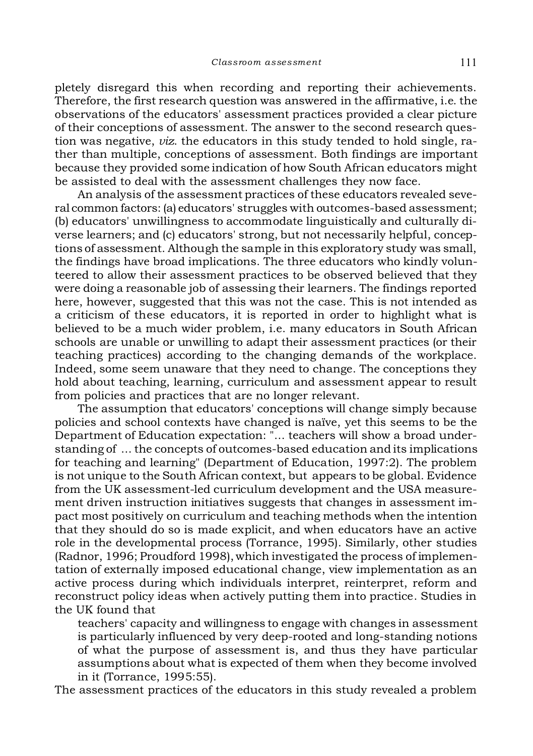pletely disregard this when recording and reporting their achievements. Therefore, the first research question was answered in the affirmative, i.e. the observations of the educators' assessment practices provided a clear picture of their conceptions of assessment. The answer to the second research question was negative, *viz*. the educators in this study tended to hold single, rather than multiple, conceptions of assessment. Both findings are important because they provided some indication of how South African educators might be assisted to deal with the assessment challenges they now face.

An analysis of the assessment practices of these educators revealed several common factors: (a) educators' struggles with outcomes-based assessment; (b) educators' unwillingness to accommodate linguistically and culturally diverse learners; and (c) educators' strong, but not necessarily helpful, conceptions of assessment. Although the sample in this exploratory study was small, the findings have broad implications. The three educators who kindly volunteered to allow their assessment practices to be observed believed that they were doing a reasonable job of assessing their learners. The findings reported here, however, suggested that this was not the case. This is not intended as a criticism of these educators, it is reported in order to highlight what is believed to be a much wider problem, i.e. many educators in South African schools are unable or unwilling to adapt their assessment practices (or their teaching practices) according to the changing demands of the workplace. Indeed, some seem unaware that they need to change. The conceptions they hold about teaching, learning, curriculum and assessment appear to result from policies and practices that are no longer relevant.

The assumption that educators' conceptions will change simply because policies and school contexts have changed is naïve, yet this seems to be the Department of Education expectation: "... teachers will show a broad understanding of ... the concepts of outcomes-based education and its implications for teaching and learning" (Department of Education, 1997:2). The problem is not unique to the South African context, but appears to be global. Evidence from the UK assessment-led curriculum development and the USA measurement driven instruction initiatives suggests that changes in assessment impact most positively on curriculum and teaching methods when the intention that they should do so is made explicit, and when educators have an active role in the developmental process (Torrance, 1995). Similarly, other studies (Radnor, 1996; Proudford 1998), which investigated the process of implementation of externally imposed educational change, view implementation as an active process during which individuals interpret, reinterpret, reform and reconstruct policy ideas when actively putting them into practice. Studies in the UK found that

teachers' capacity and willingness to engage with changes in assessment is particularly influenced by very deep-rooted and long-standing notions of what the purpose of assessment is, and thus they have particular assumptions about what is expected of them when they become involved in it (Torrance, 1995:55).

The assessment practices of the educators in this study revealed a problem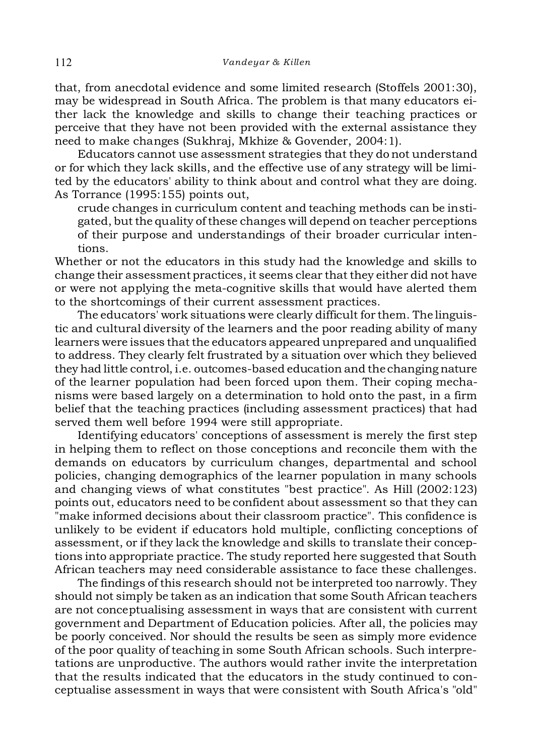that, from anecdotal evidence and some limited research (Stoffels 2001:30), may be widespread in South Africa. The problem is that many educators either lack the knowledge and skills to change their teaching practices or perceive that they have not been provided with the external assistance they need to make changes (Sukhraj, Mkhize & Govender, 2004:1).

Educators cannot use assessment strategies that they do not understand or for which they lack skills, and the effective use of any strategy will be limited by the educators' ability to think about and control what they are doing. As Torrance (1995:155) points out,

crude changes in curriculum content and teaching methods can be instigated, but the quality of these changes will depend on teacher perceptions of their purpose and understandings of their broader curricular intentions.

Whether or not the educators in this study had the knowledge and skills to change their assessment practices, it seems clear that they either did not have or were not applying the meta-cognitive skills that would have alerted them to the shortcomings of their current assessment practices.

The educators' work situations were clearly difficult for them. The linguistic and cultural diversity of the learners and the poor reading ability of many learners were issues that the educators appeared unprepared and unqualified to address. They clearly felt frustrated by a situation over which they believed they had little control, i.e. outcomes-based education and the changing nature of the learner population had been forced upon them. Their coping mechanisms were based largely on a determination to hold onto the past, in a firm belief that the teaching practices (including assessment practices) that had served them well before 1994 were still appropriate.

Identifying educators' conceptions of assessment is merely the first step in helping them to reflect on those conceptions and reconcile them with the demands on educators by curriculum changes, departmental and school policies, changing demographics of the learner population in many schools and changing views of what constitutes "best practice". As Hill (2002:123) points out, educators need to be confident about assessment so that they can "make informed decisions about their classroom practice". This confidence is unlikely to be evident if educators hold multiple, conflicting conceptions of assessment, or if they lack the knowledge and skills to translate their conceptions into appropriate practice. The study reported here suggested that South African teachers may need considerable assistance to face these challenges.

The findings of this research should not be interpreted too narrowly. They should not simply be taken as an indication that some South African teachers are not conceptualising assessment in ways that are consistent with current government and Department of Education policies. After all, the policies may be poorly conceived. Nor should the results be seen as simply more evidence of the poor quality of teaching in some South African schools. Such interpretations are unproductive. The authors would rather invite the interpretation that the results indicated that the educators in the study continued to conceptualise assessment in ways that were consistent with South Africa's "old"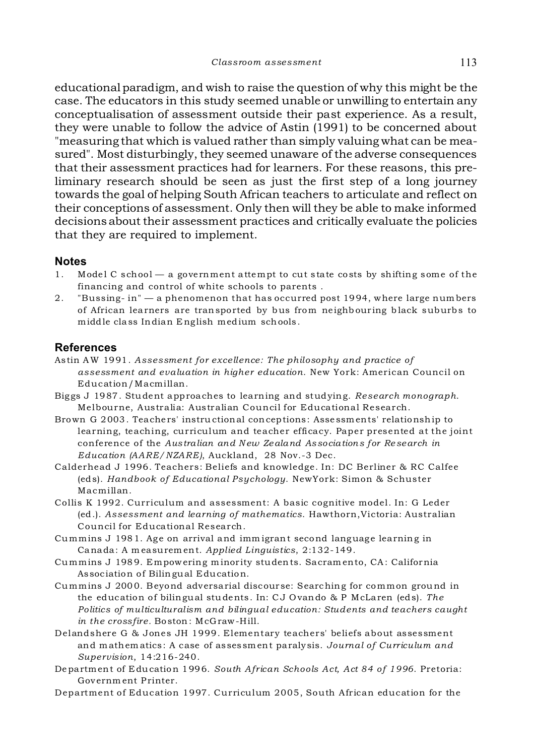educational paradigm, and wish to raise the question of why this might be the case. The educators in this study seemed unable or unwilling to entertain any conceptualisation of assessment outside their past experience. As a result, they were unable to follow the advice of Astin (1991) to be concerned about "measuring that which is valued rather than simply valuing what can be measured". Most disturbingly, they seemed unaware of the adverse consequences that their assessment practices had for learners. For these reasons, this preliminary research should be seen as just the first step of a long journey towards the goal of helping South African teachers to articulate and reflect on their conceptions of assessment. Only then will they be able to make informed decisions about their assessment practices and critically evaluate the policies that they are required to implement.

## **Notes**

- 1. Model C school a government attempt to cut state costs by shifting some of the financing and control of white schools to parents .
- 2. "Bussing- in" a phenomenon that has occurred post 1994, where large num bers of African learners are transported by bus from neighb our ing black suburbs to middle class Indian E ng lish medium schools .

## **References**

- Astin AW 1991. *Assessment for excellence: The philosophy and practice of assessment and evaluation in higher education*. New York: American Council on Education/Macmillan.
- Big gs J 1987. Student approaches to learning and studying. *Research monograph*. Melbourne, Australia: Australian Council for Educational Research.
- Brown G 2003. Teachers' instructional conceptions: Assessments' relationship to learning, teaching, curriculum and teacher efficacy. Paper presented at the joint conference of the *Australian and N ew Zealand Associations for Re search in Education (AARE/NZARE)*, Auckland, 28 Nov.-3 Dec.
- Calderhead J 1996. Teachers: Beliefs and knowledge. In: DC Berliner & RC Calfee (eds). *Handbook of Educational Psychology*. NewYork: Simon & Schuster Macmillan.
- Collis K 1992. Curriculum and assessment: A basic cognitive model. In: G Leder (ed.). *Assessment and learning of mathematics*. Hawthorn,Victoria: Australian Council for Educational Research.
- Cummins J 1981. Age on arrival and immigrant second language learning in Canada: A m easurem ent. *Applied Linguistics*, 2:132-149.
- Cummins J 1989. Empowering minority students. Sacramento, CA: California Association of Bilingual Education.
- Cummins J 2000. Beyond adversarial discourse: Searching for common ground in the education of bilingual students. In: C J O vando & P McLaren (eds). *The Politics of multiculturalism and bilingual education: Students and teachers caught in the crossfire.* Boston: McG raw-Hill.
- Delandshere G & Jones JH 1999. Elementary teachers' beliefs about assessment and m athem atics: A case of assessment paralysis. *Journal of Curriculum and Supervision*, 14:216-240.
- Department of E ducation 1996. *South African Schools Act, Act 84 of 1996*. Pretoria: Gov ernm ent Printer.
- Department of Education 1997. Curriculum 2005, South African education for the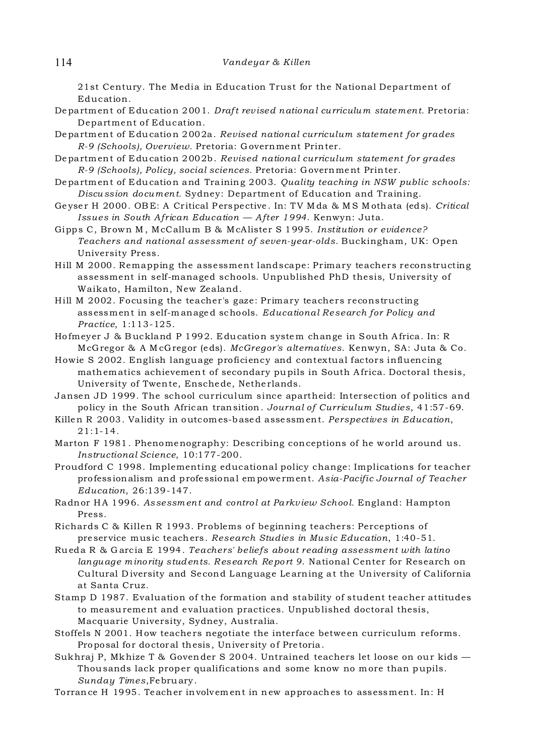21st Century. The Media in Education Trust for the National Department of Education.

- Department of E ducation 2001. *Draft rev ised national curriculu m state ment.* Pretoria: Department of Education.
- Department of E ducation 2002a. *Revised national curriculum statement for grades R-9 (Schools), Overview.* Pretoria: G overnment Printer.
- Department of E ducation 2002b. *Revised national curriculum statement for grades R-9 (Schools), Policy, social sciences.* Pretoria: G overnment Printer.
- Department of E ducation and Training 2003. *Quality teaching in NSW public schools: Discu ssion document.* Sydney: Department of Education and Training.
- Ge yse r H 2000. OB E: A Cr itical Perspective . In: T V M da & M S M othata (eds). *Critical Issues in South African Education — After 1994*. Kenwyn: Juta.
- Gipps C, Brown M , McCallum B & McAlister S 1 995. *Institution or evidence? Teachers and national assessment of seven-year-olds.* Buckingham, UK: Open University Press.
- Hill M 2000. Remapping the assessment landscape: Primary teachers reconstructing assessment in self-managed schools. Unpublished PhD thesis, University of Waikato, Hamilton, New Zealand.
- Hill M 2002. Focusing the teacher's gaze: Primary teachers reconstructing assessment in self-m anaged schools. *Educational Research for Policy and Practice*, 1:113-125.
- Ho fmeyer J & B uckland P 1992. E ducation system change in South Africa. In: R McG regor & A M cG regor (eds). *McGregor's alternatives*. Kenwyn, SA: Juta & Co.
- Howie S 2002. English language proficiency and contextual factors influencing mathematics achievemen t of secondary pupils in South Africa. Doctoral thesis, University of Twente, Enschede, Nethe rlands.
- Jansen JD 1999. The school curriculum since apartheid: Intersection of politics and policy in the South African transition . *Journal of Curriculum Studies*, 41:57-69.
- Killen R 2003. Validity in outcom es-b ased assessm ent. *Perspectives in Education*, 21:1-14.
- Marton F 1981. Phenomenography: Describing conceptions of he world around us. *Instructional Science*, 10:177-200.
- Proudford C 1998. Implementing educational policy change: Implications for teacher professionalism and profe ssional em powe rment. *Asia-Pacific Journal of Teacher Education*, 26:139-147.
- Radnor H A 1996. *Assessm ent and control at Parkv iew School.* England: Hampton Press.
- Richards C & Killen R 1993. Problems of beginning teachers: Perceptions of pre service music teachers. *Research Studies in Music Education*, 1:40-51.
- Rueda R & G arcia E 1994. *Teachers' beliefs about reading assessment with latino language minority students. Research Report 9.* National Center for Research on Cultural Diversity and Second Language Learning at the University of California at Santa Cruz.
- Stamp D 1987. Evaluation of the formation and stability of student teacher attitudes to measurement and e valuation practices. Unpublished doctoral thesis, Macquarie University, Sydney, Australia.
- Stoffels N 2001. How teachers negotiate the interface between curriculum reforms. Proposal for doctoral thesis, University of Pretoria.
- Sukhraj P, Mkhize T & Govender S 2004. Untrained teachers let loose on our kids  $-$ Thousands lack proper qualifications and some know no more than pupils. *Sunday Times*, February.
- Torrance H 1995. Teacher involvem ent in new approaches to assessment. In: H